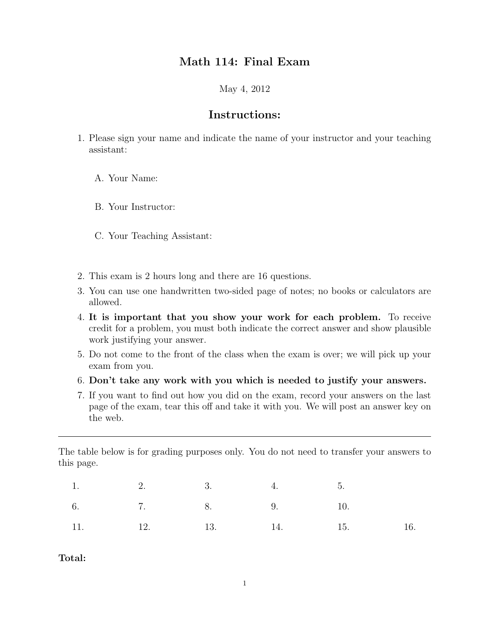## Math 114: Final Exam

May 4, 2012

## Instructions:

- 1. Please sign your name and indicate the name of your instructor and your teaching assistant:
	- A. Your Name:
	- B. Your Instructor:
	- C. Your Teaching Assistant:
- 2. This exam is 2 hours long and there are 16 questions.
- 3. You can use one handwritten two-sided page of notes; no books or calculators are allowed.
- 4. It is important that you show your work for each problem. To receive credit for a problem, you must both indicate the correct answer and show plausible work justifying your answer.
- 5. Do not come to the front of the class when the exam is over; we will pick up your exam from you.
- 6. Don't take any work with you which is needed to justify your answers.
- 7. If you want to find out how you did on the exam, record your answers on the last page of the exam, tear this off and take it with you. We will post an answer key on the web.

The table below is for grading purposes only. You do not need to transfer your answers to this page.

|  | 1. 2. 3. 4. 5. |                         |  |
|--|----------------|-------------------------|--|
|  |                | 6. 7. 8. 9. 10.         |  |
|  |                | 11. 12. 13. 14. 15. 16. |  |

Total: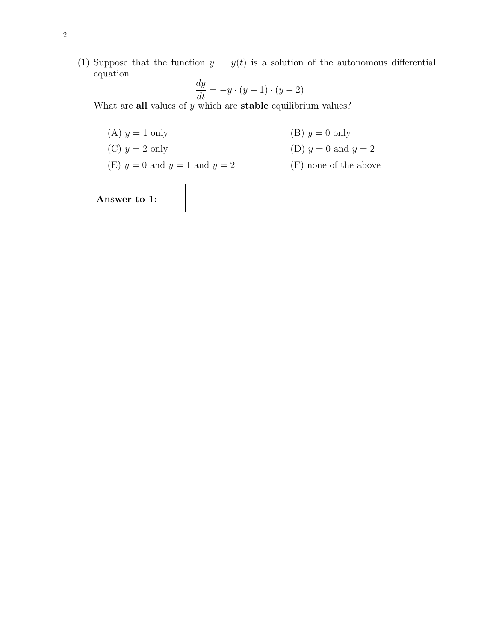(1) Suppose that the function  $y = y(t)$  is a solution of the autonomous differential equation  $\overline{d}$ 

$$
\frac{dy}{dt} = -y \cdot (y-1) \cdot (y-2)
$$

What are all values of  $y$  which are stable equilibrium values?

- (A)  $y = 1$  only (B)  $y = 0$  only
- (C)  $y = 2$  only (D)  $y = 0$  and  $y = 2$
- (E)  $y = 0$  and  $y = 1$  and  $y = 2$  (F)

$$
(F) \text{ none of the above}
$$

Answer to 1: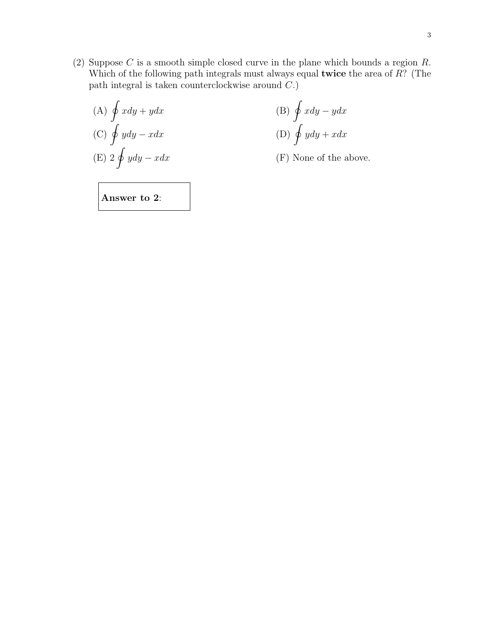(2) Suppose  $C$  is a smooth simple closed curve in the plane which bounds a region  $R$ . Which of the following path integrals must always equal twice the area of R? (The path integral is taken counterclockwise around C.)

(A) 
$$
\oint x dy + y dx
$$
  
\n(B)  $\oint x dy - y dx$   
\n(C)  $\oint y dy - x dx$   
\n(E)  $2 \oint y dy - x dx$   
\n(F) None of the above.

Answer to 2: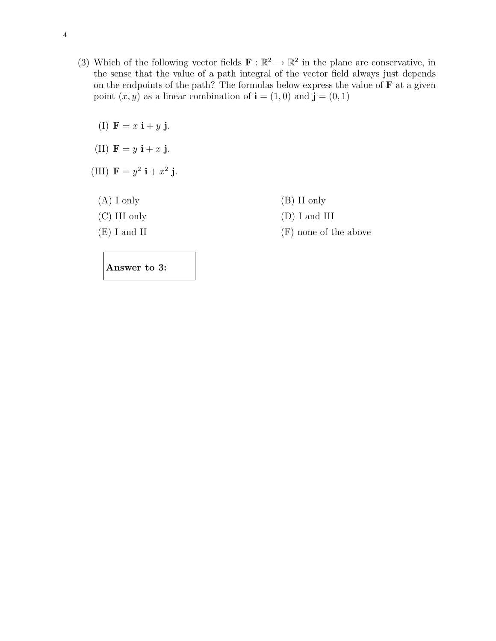- (3) Which of the following vector fields  $\mathbf{F} : \mathbb{R}^2 \to \mathbb{R}^2$  in the plane are conservative, in the sense that the value of a path integral of the vector field always just depends on the endpoints of the path? The formulas below express the value of  **at a given** point  $(x, y)$  as a linear combination of  $\mathbf{i} = (1, 0)$  and  $\mathbf{j} = (0, 1)$ 
	- (I)  $\mathbf{F} = x \mathbf{i} + y \mathbf{j}$ .
	- (II)  $\mathbf{F} = y \mathbf{i} + x \mathbf{j}$ .
	- (III)  $F = y^2 i + x^2 j$ .
		-
		-
		-
		- (A) I only (B) II only
		- (C) III only (D) I and III
		- $(E)$  I and II (F) none of the above

Answer to 3: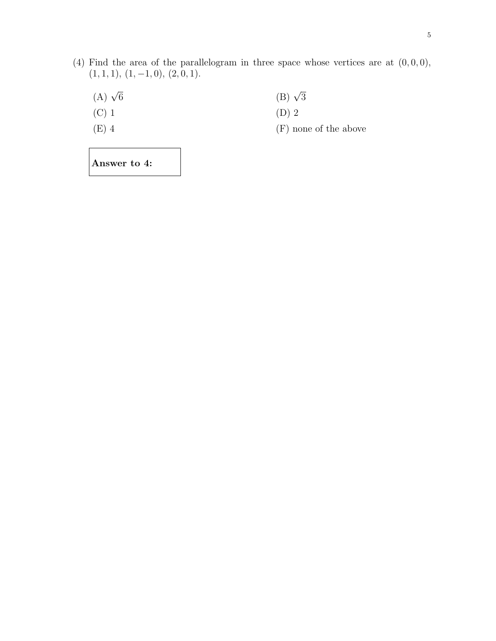- (4) Find the area of the parallelogram in three space whose vertices are at  $(0, 0, 0)$ ,  $(1, 1, 1), (1, -1, 0), (2, 0, 1).$ 
	- (A)  $\sqrt{6}$  $\overline{6}$  (B)  $\sqrt{3}$
	- (C) 1  $(D) 2$
	- (E)  $4$  (F) none of the above

Answer to 4: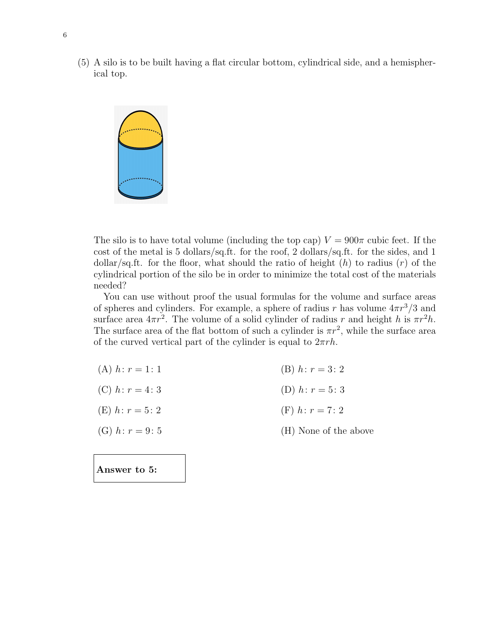(5) A silo is to be built having a flat circular bottom, cylindrical side, and a hemispherical top.



Answer to 5:

The silo is to have total volume (including the top cap)  $V = 900\pi$  cubic feet. If the cost of the metal is 5 dollars/sq.ft. for the roof, 2 dollars/sq.ft. for the sides, and 1 dollar/sq.ft. for the floor, what should the ratio of height  $(h)$  to radius  $(r)$  of the cylindrical portion of the silo be in order to minimize the total cost of the materials needed?

You can use without proof the usual formulas for the volume and surface areas of spheres and cylinders. For example, a sphere of radius r has volume  $4\pi r^3/3$  and surface area  $4\pi r^2$ . The volume of a solid cylinder of radius r and height h is  $\pi r^2 h$ . The surface area of the flat bottom of such a cylinder is  $\pi r^2$ , while the surface area of the curved vertical part of the cylinder is equal to  $2\pi rh$ .

| (A) $h: r = 1: 1$ | (B) $h: r = 3: 2$     |
|-------------------|-----------------------|
| (C) $h: r = 4:3$  | (D) $h: r = 5:3$      |
| (E) $h: r = 5:2$  | (F) $h: r = 7:2$      |
| (G) $h: r = 9:5$  | (H) None of the above |
|                   |                       |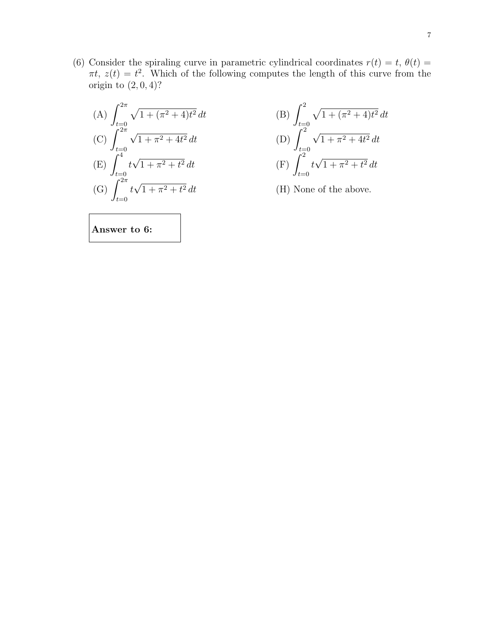(6) Consider the spiraling curve in parametric cylindrical coordinates  $r(t) = t$ ,  $\theta(t) =$  $\pi t$ ,  $z(t) = t^2$ . Which of the following computes the length of this curve from the origin to  $(2, 0, 4)$ ?

(A) 
$$
\int_{t=0}^{2\pi} \sqrt{1 + (\pi^2 + 4)t^2} dt
$$
  
\n(C) 
$$
\int_{t=0}^{2\pi} \sqrt{1 + \pi^2 + 4t^2} dt
$$
  
\n(E) 
$$
\int_{t=0}^{4} t\sqrt{1 + \pi^2 + t^2} dt
$$
  
\n(G) 
$$
\int_{t=0}^{2\pi} t\sqrt{1 + \pi^2 + t^2} dt
$$

$$
\frac{4}{t^2} dt
$$
\n(B)\n
$$
\int_{t=0}^{2} \sqrt{1 + (\pi^2 + 4)t^2} dt
$$
\n(D)\n
$$
\int_{t=0}^{2} \sqrt{1 + \pi^2 + 4t^2} dt
$$
\n(F)\n
$$
\int_{t=0}^{2} t\sqrt{1 + \pi^2 + t^2} dt
$$

 $(H)$  None of the above.

Answer to 6: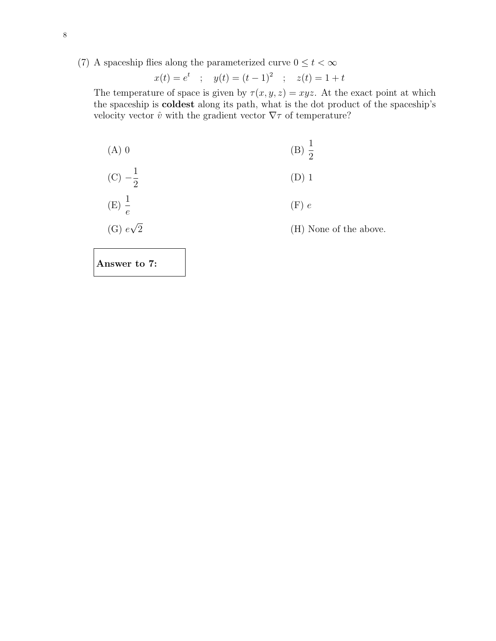(7) A spaceship flies along the parameterized curve  $0\leq t<\infty$ 

$$
x(t) = e^t
$$
 ;  $y(t) = (t-1)^2$  ;  $z(t) = 1 + t$ 

The temperature of space is given by  $\tau(x, y, z) = xyz$ . At the exact point at which the spaceship is coldest along its path, what is the dot product of the spaceship's velocity vector  $\hat{v}$  with the gradient vector  $\nabla \tau$  of temperature?

(A) 0   
 (B) 
$$
\frac{1}{2}
$$

(C) 
$$
-\frac{1}{2}
$$
 (D) 1

$$
(E) \frac{1}{e}
$$
 (F) e

(G) 
$$
e\sqrt{2}
$$
 (H) None of the above.

Answer to 7: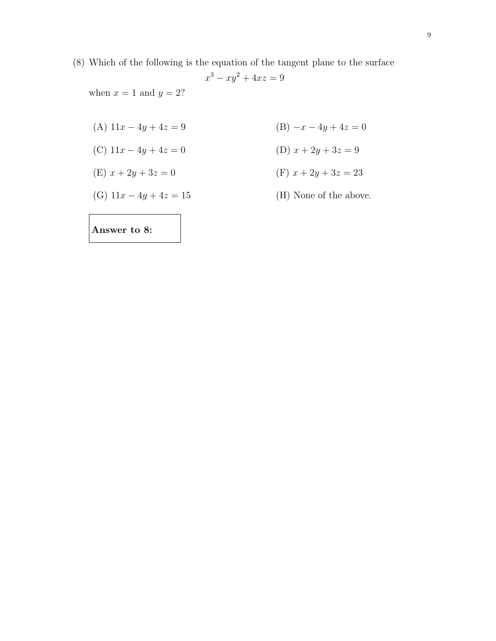(8) Which of the following is the equation of the tangent plane to the surface  $x^3 - xy^2 + 4xz = 9$ 

when  $x = 1$  and  $y = 2$ ?

- (A)  $11x 4y + 4z = 9$  (B)  $-x 4y + 4z = 0$
- (C)  $11x 4y + 4z = 0$  (D)  $x + 2y + 3z = 9$
- (E)  $x + 2y + 3z = 0$  (F)  $x + 2y + 3z = 23$
- (G)  $11x 4y + 4z = 15$  (H) None of the above.
	-

Answer to 8: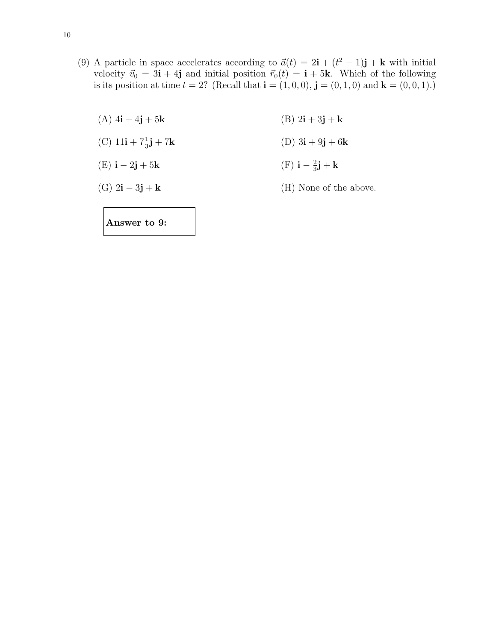- (9) A particle in space accelerates according to  $\vec{a}(t) = 2\mathbf{i} + (t^2 1)\mathbf{j} + \mathbf{k}$  with initial velocity  $\vec{v}_0 = 3\mathbf{i} + 4\mathbf{j}$  and initial position  $\vec{r}_0(t) = \mathbf{i} + 5\mathbf{k}$ . Which of the following is its position at time  $t = 2$ ? (Recall that  $\mathbf{i} = (1, 0, 0), \mathbf{j} = (0, 1, 0)$  and  $\mathbf{k} = (0, 0, 1).$ )
	- (A)  $4i + 4j + 5k$  (B)  $2i + 3j + k$
	- (C)  $11i + 7\frac{1}{3}$ (D)  $3i + 9j + 6k$
	- (E)  $\mathbf{i} 2\mathbf{j} + 5\mathbf{k}$ 2  $\frac{2}{3}$ j + k
	- (G)  $2\mathbf{i} 3\mathbf{j} + \mathbf{k}$  (H) None of the above.

Answer to 9: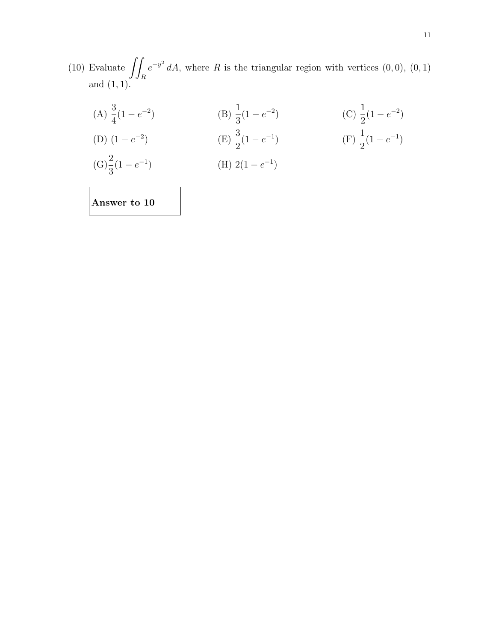(10) Evaluate  $\int$ R  $e^{-y^2} dA$ , where R is the triangular region with vertices  $(0,0)$ ,  $(0,1)$ and  $(1, 1)$ .

(A) 
$$
\frac{3}{4}(1 - e^{-2})
$$
 (B)  $\frac{1}{3}(1 - e^{-2})$  (C)  $\frac{1}{2}(1 - e^{-2})$   
\n(D)  $(1 - e^{-2})$  (E)  $\frac{3}{2}(1 - e^{-1})$  (F)  $\frac{1}{2}(1 - e^{-1})$   
\n(G)  $\frac{2}{3}(1 - e^{-1})$  (H)  $2(1 - e^{-1})$ 

Answer to 10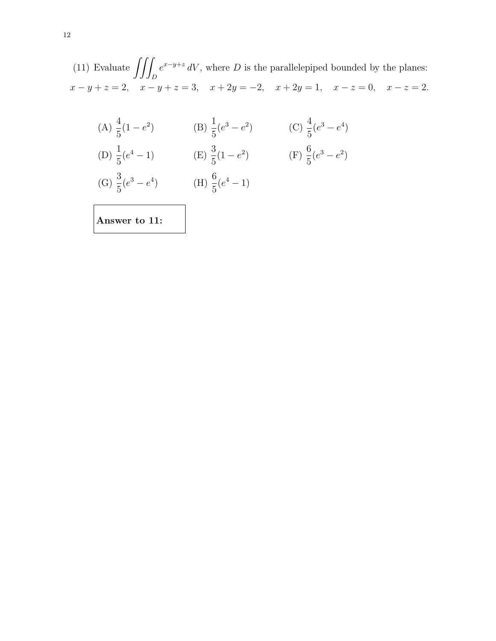(11) Evaluate  $\iint$ D  $e^{x-y+z}$  dV, where D is the parallelepiped bounded by the planes:  $x - y + z = 2$ ,  $x - y + z = 3$ ,  $x + 2y = -2$ ,  $x + 2y = 1$ ,  $x - z = 0$ ,  $x - z = 2$ .

(A) 
$$
\frac{4}{5}(1-e^2)
$$
 (B)  $\frac{1}{5}(e^3-e^2)$  (C)  $\frac{4}{5}(e^3-e^4)$   
\n(D)  $\frac{1}{5}(e^4-1)$  (E)  $\frac{3}{5}(1-e^2)$  (F)  $\frac{6}{5}(e^3-e^2)$   
\n(G)  $\frac{3}{5}(e^3-e^4)$  (H)  $\frac{6}{5}(e^4-1)$   
\nAnswer to 11: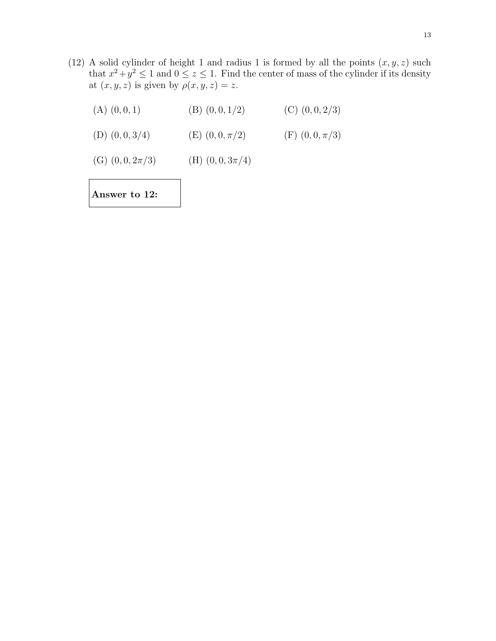(12) A solid cylinder of height 1 and radius 1 is formed by all the points  $(x, y, z)$  such that  $x^2 + y^2 \le 1$  and  $0 \le z \le 1$ . Find the center of mass of the cylinder if its density at  $(x, y, z)$  is given by  $\rho(x, y, z) = z$ .

(A)  $(0, 0, 1)$  (B)  $(0, 0, 1/2)$  (C)  $(0, 0, 2/3)$ 

(D)  $(0, 0, 3/4)$  (E)  $(0, 0, \pi/2)$  (F)  $(0, 0, \pi/3)$ 

(G) 
$$
(0, 0, 2\pi/3)
$$
 (H)  $(0, 0, 3\pi/4)$ 

Answer to 12: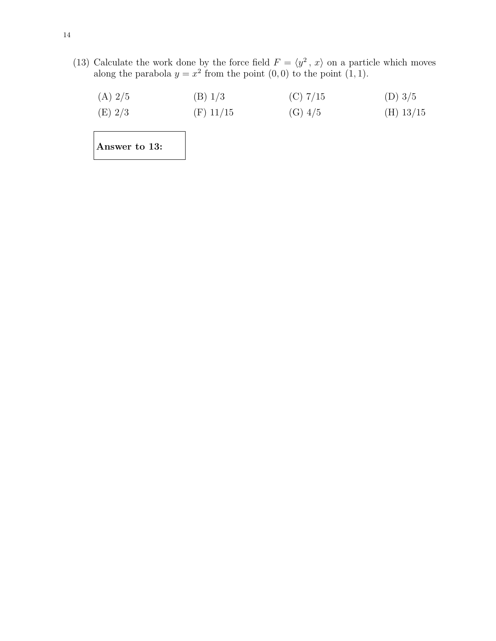(13) Calculate the work done by the force field  $F = \langle y^2, x \rangle$  on a particle which moves along the parabola  $y = x^2$  from the point  $(0, 0)$  to the point  $(1, 1)$ .

| (A) 2/5 | (B) 1/3   | $(C)$ 7/15 | (D) $3/5$ |
|---------|-----------|------------|-----------|
| (E) 2/3 | (F) 11/15 | (G) 4/5    | (H) 13/15 |

Answer to 13: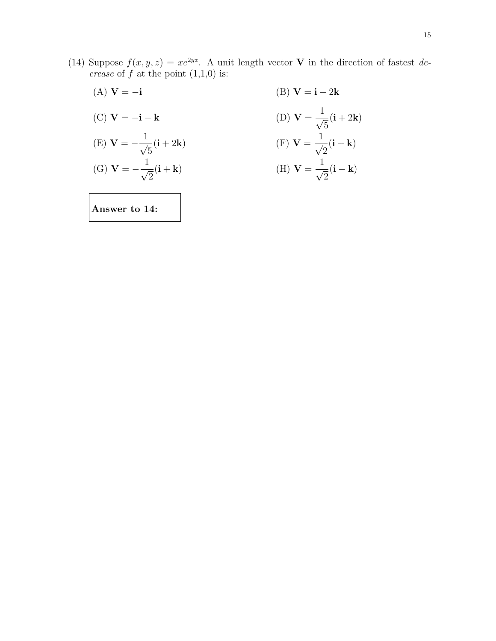- (14) Suppose  $f(x, y, z) = xe^{2yz}$ . A unit length vector **V** in the direction of fastest decrease of  $f$  at the point  $(1,1,0)$  is:
	- (A)  $V = -i$  (B)  $V = i + 2k$ (C)  $V = -i - k$  $\frac{1}{\sqrt{2}}$ 5  $(i + 2k)$ (E)  ${\bf V} = -\frac{1}{4}$ 5  $(i + 2k)$  (F)  $V =$  $\frac{1}{\sqrt{2}}$ 2  $(i + k)$ (G)  $V = -\frac{1}{4}$ 2  $(i + k)$  (H) V =  $\frac{1}{\sqrt{2}}$ 2  $(i - k)$

Answer to 14: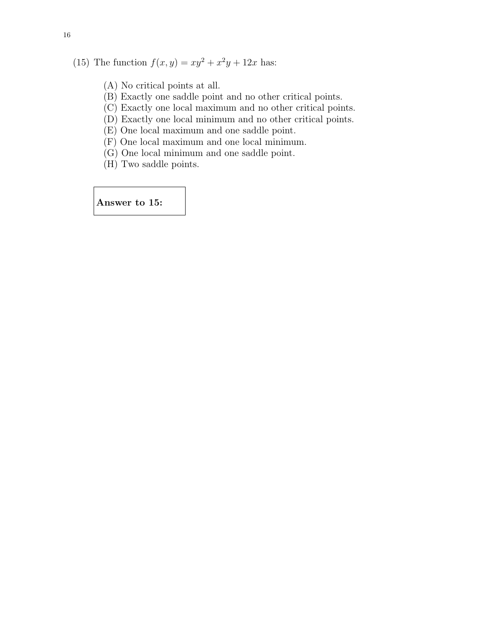(15) The function  $f(x, y) = xy^2 + x^2y + 12x$  has:

- (A) No critical points at all.
- (B) Exactly one saddle point and no other critical points.
- (C) Exactly one local maximum and no other critical points.
- (D) Exactly one local minimum and no other critical points.
- (E) One local maximum and one saddle point.
- (F) One local maximum and one local minimum.
- (G) One local minimum and one saddle point.
- (H) Two saddle points.

Answer to 15: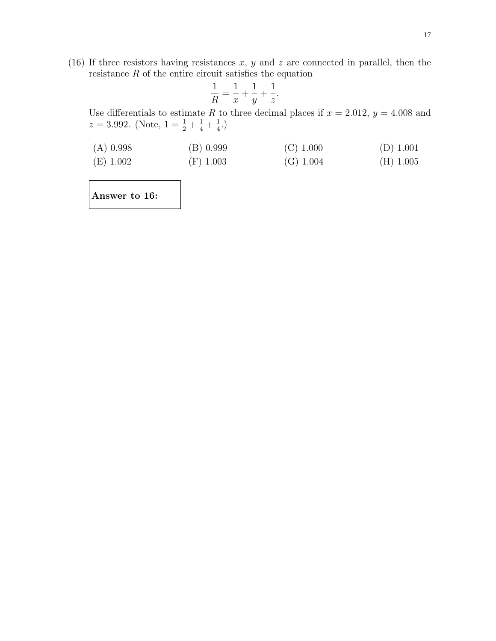(16) If three resistors having resistances  $x, y$  and  $z$  are connected in parallel, then the resistance  $R$  of the entire circuit satisfies the equation

$$
\frac{1}{R} = \frac{1}{x} + \frac{1}{y} + \frac{1}{z}.
$$

Use differentials to estimate R to three decimal places if  $x = 2.012$ ,  $y = 4.008$  and  $z = 3.992.$  (Note,  $1 = \frac{1}{2} + \frac{1}{4} + \frac{1}{4}$  $(\frac{1}{4})$ 

| $(A)$ 0.998 | (B) 0.999   | $(C)$ 1.000 | $(D)$ 1.001 |
|-------------|-------------|-------------|-------------|
| $(E)$ 1.002 | $(F)$ 1.003 | (G) 1.004   | $(H)$ 1.005 |

Answer to 16: